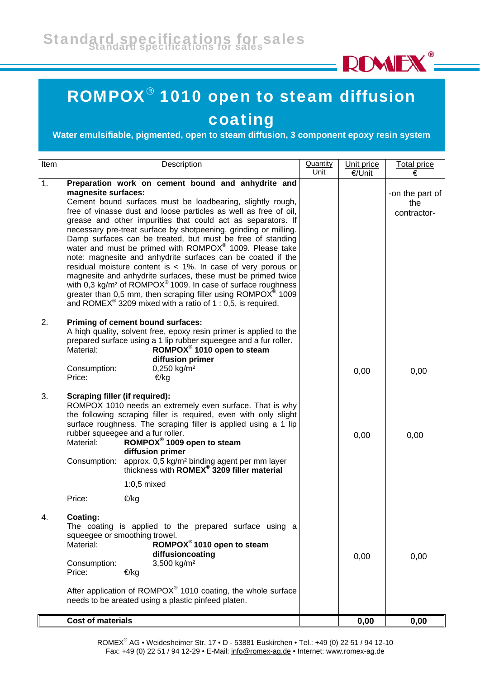

## ROMPOX® 1010 open to steam diffusion coating

**Water emulsifiable, pigmented, open to steam diffusion, 3 component epoxy resin system**

| Item | Description                                                                                                                                                                                                                                                                                                                                                                                                                                                                                                                                                                                                                                                                                                                                                                                                                                                                                                              | Quantity<br>Unit | Unit price | <b>Total price</b>                    |
|------|--------------------------------------------------------------------------------------------------------------------------------------------------------------------------------------------------------------------------------------------------------------------------------------------------------------------------------------------------------------------------------------------------------------------------------------------------------------------------------------------------------------------------------------------------------------------------------------------------------------------------------------------------------------------------------------------------------------------------------------------------------------------------------------------------------------------------------------------------------------------------------------------------------------------------|------------------|------------|---------------------------------------|
| 1.   |                                                                                                                                                                                                                                                                                                                                                                                                                                                                                                                                                                                                                                                                                                                                                                                                                                                                                                                          |                  | €/Unit     | €                                     |
|      | Preparation work on cement bound and anhydrite and<br>magnesite surfaces:<br>Cement bound surfaces must be loadbearing, slightly rough,<br>free of vinasse dust and loose particles as well as free of oil,<br>grease and other impurities that could act as separators. If<br>necessary pre-treat surface by shotpeening, grinding or milling.<br>Damp surfaces can be treated, but must be free of standing<br>water and must be primed with ROMPOX® 1009. Please take<br>note: magnesite and anhydrite surfaces can be coated if the<br>residual moisture content is $<$ 1%. In case of very porous or<br>magnesite and anhydrite surfaces, these must be primed twice<br>with 0.3 kg/m <sup>2</sup> of ROMPOX <sup>®</sup> 1009. In case of surface roughness<br>greater than 0,5 mm, then scraping filler using ROMPOX <sup>®</sup> 1009<br>and ROMEX <sup>®</sup> 3209 mixed with a ratio of 1 : 0,5, is required. |                  |            | -on the part of<br>the<br>contractor- |
| 2.   | Priming of cement bound surfaces:<br>A high quality, solvent free, epoxy resin primer is applied to the<br>prepared surface using a 1 lip rubber squeegee and a fur roller.<br>ROMPOX <sup>®</sup> 1010 open to steam<br>Material:<br>diffusion primer<br>0,250 kg/m <sup>2</sup><br>Consumption:<br>Price:<br>€/kg                                                                                                                                                                                                                                                                                                                                                                                                                                                                                                                                                                                                      |                  | 0,00       | 0,00                                  |
| 3.   | <b>Scraping filler (if required):</b><br>ROMPOX 1010 needs an extremely even surface. That is why<br>the following scraping filler is required, even with only slight<br>surface roughness. The scraping filler is applied using a 1 lip<br>rubber squeegee and a fur roller.<br>ROMPOX <sup>®</sup> 1009 open to steam<br>Material:<br>diffusion primer<br>approx. 0,5 kg/m <sup>2</sup> binding agent per mm layer<br>thickness with <b>ROMEX<sup>®</sup> 3209 filler material</b><br>Consumption:                                                                                                                                                                                                                                                                                                                                                                                                                     |                  | 0,00       | 0,00                                  |
|      | $1:0,5$ mixed                                                                                                                                                                                                                                                                                                                                                                                                                                                                                                                                                                                                                                                                                                                                                                                                                                                                                                            |                  |            |                                       |
|      | Price:<br>€/kg<br>Coating:<br>The coating is applied to the prepared surface using a<br>squeegee or smoothing trowel.<br>ROMPOX <sup>®</sup> 1010 open to steam<br>Material:<br>diffusioncoating<br>3,500 kg/m <sup>2</sup><br>Consumption:<br>Price:<br>€/kg<br>After application of ROMPO $X^{\circ}$ 1010 coating, the whole surface<br>needs to be areated using a plastic pinfeed platen.                                                                                                                                                                                                                                                                                                                                                                                                                                                                                                                           |                  | 0,00       | 0,00                                  |
|      | <b>Cost of materials</b>                                                                                                                                                                                                                                                                                                                                                                                                                                                                                                                                                                                                                                                                                                                                                                                                                                                                                                 |                  | 0,00       | 0,00                                  |